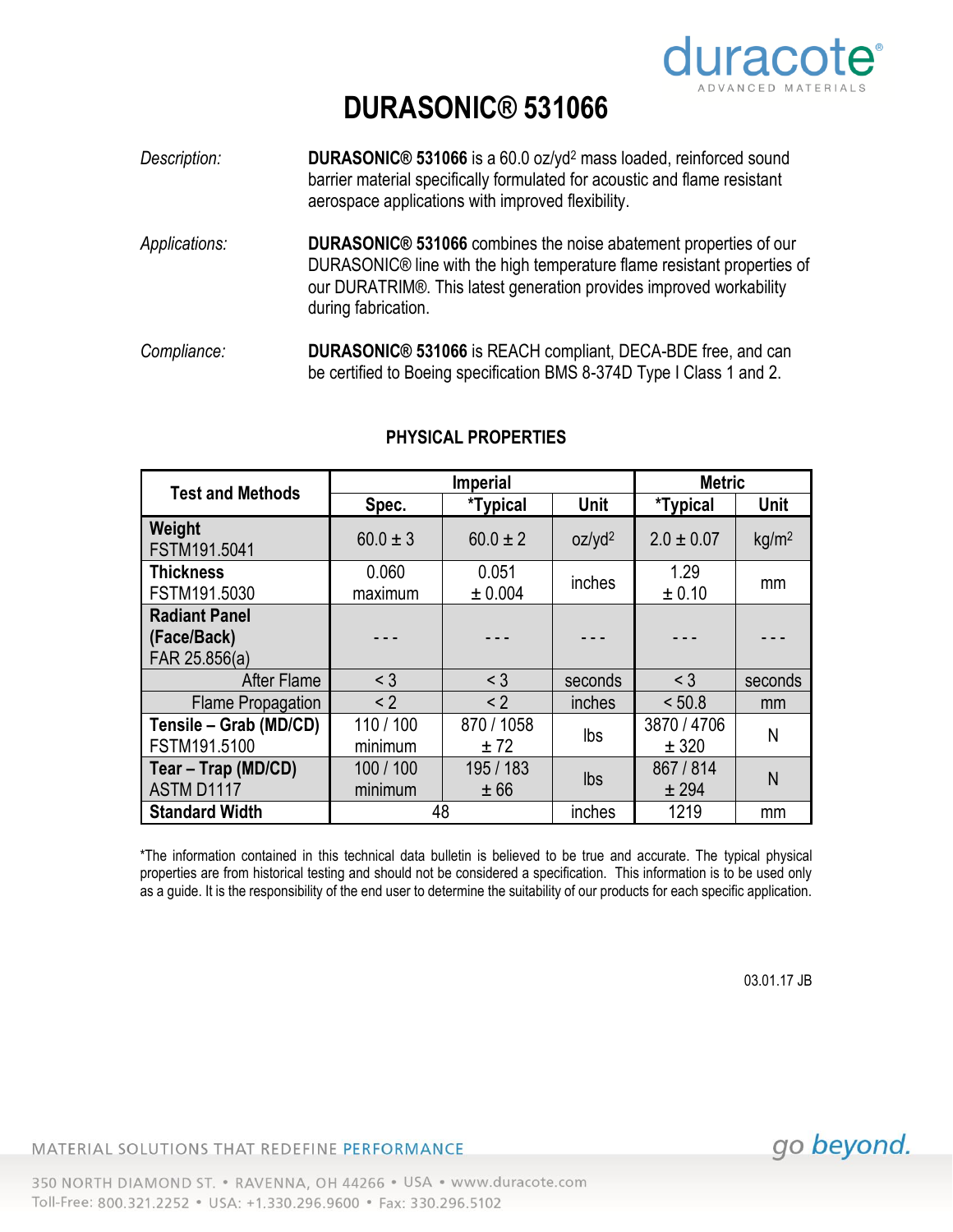

## **DURASONIC® 531066**

- *Description:* **DURASONIC® 531066** is a 60.0 oz/yd<sup>2</sup> mass loaded, reinforced sound barrier material specifically formulated for acoustic and flame resistant aerospace applications with improved flexibility. *Applications:* **DURASONIC® 531066** combines the noise abatement properties of our DURASONIC® line with the high temperature flame resistant properties of our DURATRIM®. This latest generation provides improved workability during fabrication.
- *Compliance:* **DURASONIC® 531066** is REACH compliant, DECA-BDE free, and can be certified to Boeing specification BMS 8-374D Type I Class 1 and 2.

| <b>Test and Methods</b>                              | <b>Imperial</b>      |                    |                    | <b>Metric</b>        |                   |
|------------------------------------------------------|----------------------|--------------------|--------------------|----------------------|-------------------|
|                                                      | Spec.                | <i>*</i> Typical   | Unit               | <i>*</i> Typical     | <b>Unit</b>       |
| Weight<br>FSTM191.5041                               | $60.0 \pm 3$         | $60.0 \pm 2$       | oz/yd <sup>2</sup> | $2.0 \pm 0.07$       | kg/m <sup>2</sup> |
| <b>Thickness</b><br>FSTM191.5030                     | 0.060<br>maximum     | 0.051<br>± 0.004   | inches             | 1.29<br>± 0.10       | mm                |
| <b>Radiant Panel</b><br>(Face/Back)<br>FAR 25.856(a) |                      |                    |                    |                      |                   |
| <b>After Flame</b>                                   | $<$ 3                | $<$ 3              | seconds            | $<$ 3                | seconds           |
| <b>Flame Propagation</b>                             | < 2                  | < 2                | inches             | < 50.8               | mm                |
| Tensile - Grab (MD/CD)<br>FSTM191.5100               | 110/100<br>minimum   | 870 / 1058<br>± 72 | lbs                | 3870 / 4706<br>± 320 | N                 |
| Tear – Trap (MD/CD)<br>ASTM D1117                    | 100 / 100<br>minimum | 195 / 183<br>± 66  | lbs                | 867 / 814<br>± 294   | N                 |
| <b>Standard Width</b>                                | 48                   |                    | inches             | 1219                 | mm                |

## **PHYSICAL PROPERTIES**

\*The information contained in this technical data bulletin is believed to be true and accurate. The typical physical properties are from historical testing and should not be considered a specification. This information is to be used only as a guide. It is the responsibility of the end user to determine the suitability of our products for each specific application.

03.01.17 JB

MATERIAL SOLUTIONS THAT REDEFINE PERFORMANCE